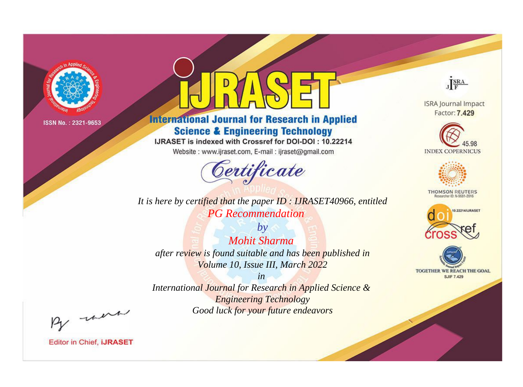

# **International Journal for Research in Applied Science & Engineering Technology**

IJRASET is indexed with Crossref for DOI-DOI: 10.22214

Website: www.ijraset.com, E-mail: ijraset@gmail.com



**ISRA Journal Impact** Factor: 7.429

JERA





**THOMSON REUTERS** 



TOGETHER WE REACH THE GOAL **SJIF 7.429** 

*It is here by certified that the paper ID : IJRASET40966, entitled PG Recommendation*

*by Mohit Sharma after review is found suitable and has been published in Volume 10, Issue III, March 2022*

*in* 

*International Journal for Research in Applied Science & Engineering Technology Good luck for your future endeavors*

By morn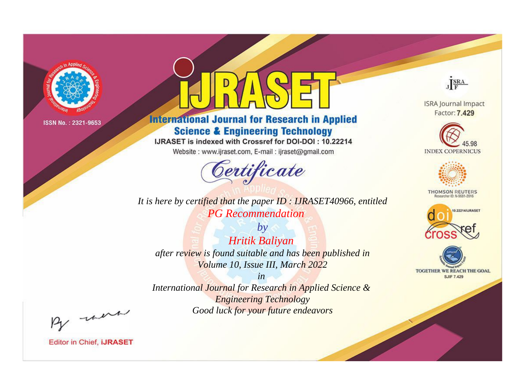

# **International Journal for Research in Applied Science & Engineering Technology**

IJRASET is indexed with Crossref for DOI-DOI: 10.22214

Website: www.ijraset.com, E-mail: ijraset@gmail.com



JERA

**ISRA Journal Impact** Factor: 7.429





**THOMSON REUTERS** 



TOGETHER WE REACH THE GOAL **SJIF 7.429** 

*It is here by certified that the paper ID : IJRASET40966, entitled PG Recommendation*

*by Hritik Baliyan after review is found suitable and has been published in Volume 10, Issue III, March 2022*

*in* 

*International Journal for Research in Applied Science & Engineering Technology Good luck for your future endeavors*

By morn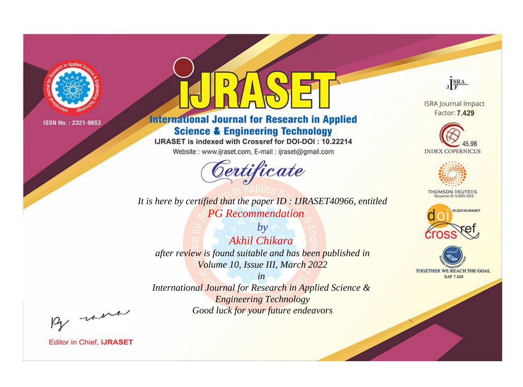

# **International Journal for Research in Applied Science & Engineering Technology**

IJRASET is indexed with Crossref for DOI-DOI: 10.22214

Website: www.ijraset.com, E-mail: ijraset@gmail.com



**ISRA Journal Impact** Factor: 7.429

JERA





**THOMSON REUTERS** 



TOGETHER WE REACH THE GOAL **SJIF 7.429** 

*It is here by certified that the paper ID : IJRASET40966, entitled PG Recommendation*

*by Akhil Chikara after review is found suitable and has been published in Volume 10, Issue III, March 2022*

*in* 

*International Journal for Research in Applied Science & Engineering Technology Good luck for your future endeavors*

By morn